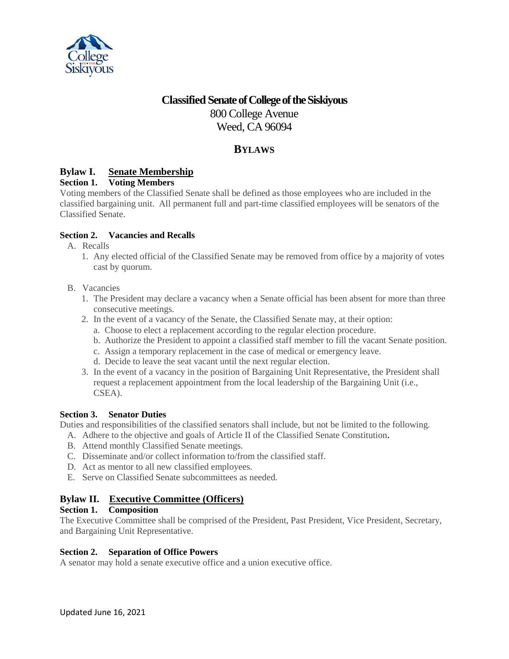

# **Classified SenateofCollegeoftheSiskiyous** 800 College Avenue Weed, CA 96094

## **BYLAWS**

## **Bylaw I. Senate Membership**

## **Section 1. Voting Members**

Voting members of the Classified Senate shall be defined as those employees who are included in the classified bargaining unit. All permanent full and part-time classified employees will be senators of the Classified Senate.

### **Section 2. Vacancies and Recalls**

- A. Recalls
	- 1. Any elected official of the Classified Senate may be removed from office by a majority of votes cast by quorum.
- B. Vacancies
	- 1. The President may declare a vacancy when a Senate official has been absent for more than three consecutive meetings.
	- 2. In the event of a vacancy of the Senate, the Classified Senate may, at their option:
		- a. Choose to elect a replacement according to the regular election procedure.
		- b. Authorize the President to appoint a classified staff member to fill the vacant Senate position.
		- c. Assign a temporary replacement in the case of medical or emergency leave.
		- d. Decide to leave the seat vacant until the next regular election.
	- 3. In the event of a vacancy in the position of Bargaining Unit Representative, the President shall request a replacement appointment from the local leadership of the Bargaining Unit (i.e., CSEA).

#### **Section 3. Senator Duties**

Duties and responsibilities of the classified senators shall include, but not be limited to the following.

- A. Adhere to the objective and goals of Article II of the Classified Senate Constitution**.**
- B. Attend monthly Classified Senate meetings.
- C. Disseminate and/or collect information to/from the classified staff.
- D. Act as mentor to all new classified employees.
- E. Serve on Classified Senate subcommittees as needed.

## **Bylaw II. Executive Committee (Officers)**

#### **Section 1. Composition**

The Executive Committee shall be comprised of the President, Past President, Vice President, Secretary, and Bargaining Unit Representative.

#### **Section 2. Separation of Office Powers**

A senator may hold a senate executive office and a union executive office.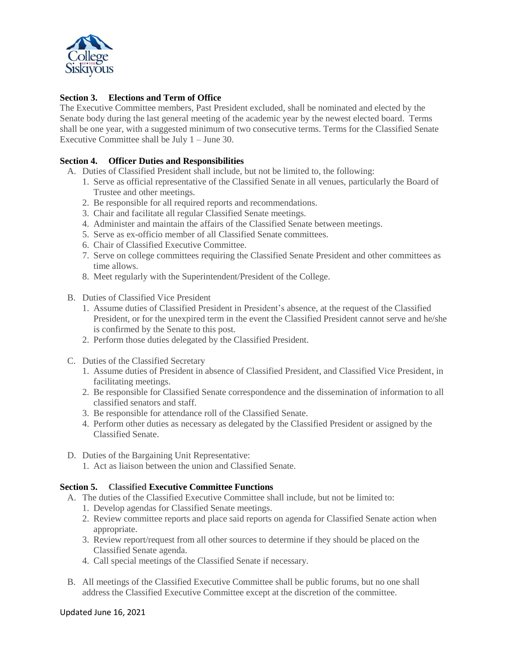

### **Section 3. Elections and Term of Office**

The Executive Committee members, Past President excluded, shall be nominated and elected by the Senate body during the last general meeting of the academic year by the newest elected board. Terms shall be one year, with a suggested minimum of two consecutive terms. Terms for the Classified Senate Executive Committee shall be July 1 – June 30.

#### **Section 4. Officer Duties and Responsibilities**

- A. Duties of Classified President shall include, but not be limited to, the following:
	- 1. Serve as official representative of the Classified Senate in all venues, particularly the Board of Trustee and other meetings.
	- 2. Be responsible for all required reports and recommendations.
	- 3. Chair and facilitate all regular Classified Senate meetings.
	- 4. Administer and maintain the affairs of the Classified Senate between meetings.
	- 5. Serve as ex-officio member of all Classified Senate committees.
	- 6. Chair of Classified Executive Committee.
	- 7. Serve on college committees requiring the Classified Senate President and other committees as time allows.
	- 8. Meet regularly with the Superintendent/President of the College.
- B. Duties of Classified Vice President
	- 1. Assume duties of Classified President in President's absence, at the request of the Classified President, or for the unexpired term in the event the Classified President cannot serve and he/she is confirmed by the Senate to this post.
	- 2. Perform those duties delegated by the Classified President.
- C. Duties of the Classified Secretary
	- 1. Assume duties of President in absence of Classified President, and Classified Vice President, in facilitating meetings.
	- 2. Be responsible for Classified Senate correspondence and the dissemination of information to all classified senators and staff.
	- 3. Be responsible for attendance roll of the Classified Senate.
	- 4. Perform other duties as necessary as delegated by the Classified President or assigned by the Classified Senate.
- D. Duties of the Bargaining Unit Representative:
	- 1. Act as liaison between the union and Classified Senate.

#### **Section 5. Classified Executive Committee Functions**

- A. The duties of the Classified Executive Committee shall include, but not be limited to:
	- 1. Develop agendas for Classified Senate meetings.
	- 2. Review committee reports and place said reports on agenda for Classified Senate action when appropriate.
	- 3. Review report/request from all other sources to determine if they should be placed on the Classified Senate agenda.
	- 4. Call special meetings of the Classified Senate if necessary.
- B. All meetings of the Classified Executive Committee shall be public forums, but no one shall address the Classified Executive Committee except at the discretion of the committee.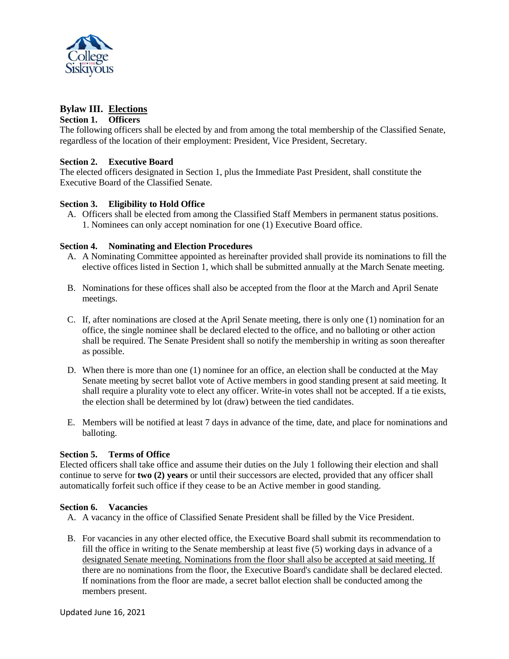

## **Bylaw III. Elections**

#### **Section 1. Officers**

The following officers shall be elected by and from among the total membership of the Classified Senate, regardless of the location of their employment: President, Vice President, Secretary.

#### **Section 2. Executive Board**

The elected officers designated in Section 1, plus the Immediate Past President, shall constitute the Executive Board of the Classified Senate.

### **Section 3. Eligibility to Hold Office**

A. Officers shall be elected from among the Classified Staff Members in permanent status positions. 1. Nominees can only accept nomination for one (1) Executive Board office.

### **Section 4. Nominating and Election Procedures**

- A. A Nominating Committee appointed as hereinafter provided shall provide its nominations to fill the elective offices listed in Section 1, which shall be submitted annually at the March Senate meeting.
- B. Nominations for these offices shall also be accepted from the floor at the March and April Senate meetings.
- C. If, after nominations are closed at the April Senate meeting, there is only one (1) nomination for an office, the single nominee shall be declared elected to the office, and no balloting or other action shall be required. The Senate President shall so notify the membership in writing as soon thereafter as possible.
- D. When there is more than one (1) nominee for an office, an election shall be conducted at the May Senate meeting by secret ballot vote of Active members in good standing present at said meeting. It shall require a plurality vote to elect any officer. Write-in votes shall not be accepted. If a tie exists, the election shall be determined by lot (draw) between the tied candidates.
- E. Members will be notified at least 7 days in advance of the time, date, and place for nominations and balloting.

#### **Section 5. Terms of Office**

Elected officers shall take office and assume their duties on the July 1 following their election and shall continue to serve for **two (2) years** or until their successors are elected, provided that any officer shall automatically forfeit such office if they cease to be an Active member in good standing.

#### **Section 6. Vacancies**

- A. A vacancy in the office of Classified Senate President shall be filled by the Vice President.
- B. For vacancies in any other elected office, the Executive Board shall submit its recommendation to fill the office in writing to the Senate membership at least five (5) working days in advance of a designated Senate meeting. Nominations from the floor shall also be accepted at said meeting. If there are no nominations from the floor, the Executive Board's candidate shall be declared elected. If nominations from the floor are made, a secret ballot election shall be conducted among the members present.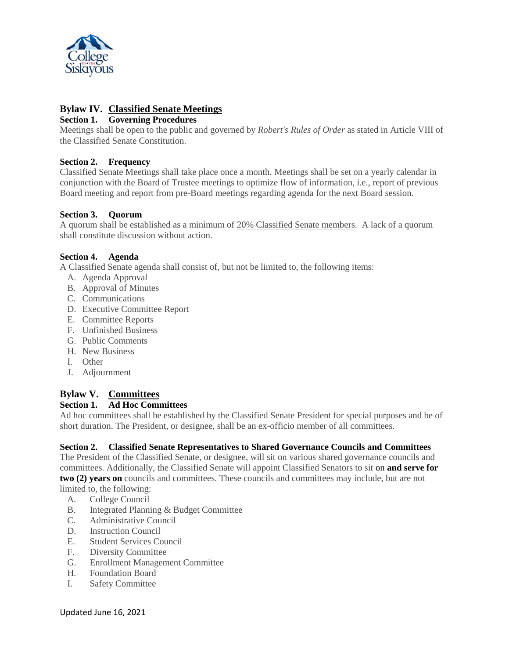

## **Bylaw IV. Classified Senate Meetings**

### **Section 1. Governing Procedures**

Meetings shall be open to the public and governed by *Robert's Rules of Order* as stated in Article VIII of the Classified Senate Constitution.

### **Section 2. Frequency**

Classified Senate Meetings shall take place once a month. Meetings shall be set on a yearly calendar in conjunction with the Board of Trustee meetings to optimize flow of information, i.e., report of previous Board meeting and report from pre-Board meetings regarding agenda for the next Board session.

### **Section 3. Quorum**

A quorum shall be established as a minimum of 20% Classified Senate members. A lack of a quorum shall constitute discussion without action.

### **Section 4. Agenda**

A Classified Senate agenda shall consist of, but not be limited to, the following items:

- A. Agenda Approval
- B. Approval of Minutes
- C. Communications
- D. Executive Committee Report
- E. Committee Reports
- F. Unfinished Business
- G. Public Comments
- H. New Business
- I. Other
- J. Adjournment

## **Bylaw V. Committees**

## **Section 1. Ad Hoc Committees**

Ad hoc committees shall be established by the Classified Senate President for special purposes and be of short duration. The President, or designee, shall be an ex-officio member of all committees.

## **Section 2. Classified Senate Representatives to Shared Governance Councils and Committees**

The President of the Classified Senate, or designee, will sit on various shared governance councils and committees. Additionally, the Classified Senate will appoint Classified Senators to sit on **and serve for two (2) years on** councils and committees. These councils and committees may include, but are not limited to, the following:

- A. College Council
- B. Integrated Planning & Budget Committee
- C. Administrative Council
- D. Instruction Council
- E. Student Services Council
- F. Diversity Committee
- G. Enrollment Management Committee
- H. Foundation Board
- I. Safety Committee